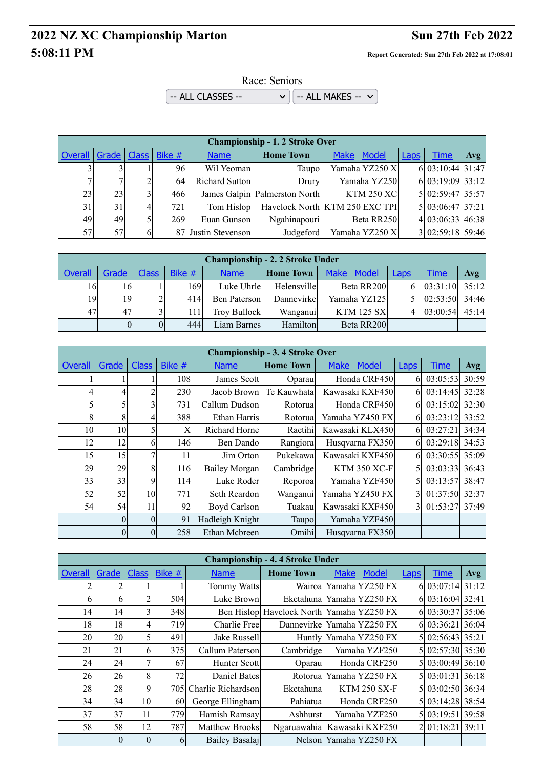## **2022 NZ XC Championship Marton Sun 27th Feb 2022 5:08:11 PM Report Generated: Sun 27th Feb 2022 at 17:08:01**

Race: Seniors

 $\sim$  ALL CLASSES --  $\sim$   $\sim$   $\sim$  ALL MAKES --  $\sim$ 

|         | <b>Championship - 1. 2 Stroke Over</b> |    |                    |                     |                               |                                |             |                  |            |  |  |  |
|---------|----------------------------------------|----|--------------------|---------------------|-------------------------------|--------------------------------|-------------|------------------|------------|--|--|--|
| Overall |                                        |    | Grade Class Bike # | <b>Name</b>         | <b>Home Town</b>              | <b>Make</b><br>Model           | <b>Laps</b> | Time             | <b>Avg</b> |  |  |  |
|         |                                        |    | 961                | Wil Yeoman          | Taupo                         | Yamaha YZ250 X                 |             | 6 03:10:44 31:47 |            |  |  |  |
|         |                                        |    | 64                 | Richard Sutton      | Drury                         | Yamaha YZ250                   |             | 6 03:19:09 33:12 |            |  |  |  |
| 23      | 23                                     |    | 466                |                     | James Galpin Palmerston North | <b>KTM 250 XC</b>              |             | 5 02:59:47 35:57 |            |  |  |  |
| 31      | 31                                     | 41 | 721                | Tom Hislop          |                               | Havelock North KTM 250 EXC TPI |             | 5 03:06:47 37:21 |            |  |  |  |
| 49      | 49                                     |    | 269                | Euan Gunson         | Ngahinapouri                  | Beta RR250                     |             | 4 03:06:33 46:38 |            |  |  |  |
| 57      | 57                                     | 6  |                    | 87 Justin Stevenson | Judgeford                     | Yamaha YZ250 X                 |             | 3 02:59:18 59:46 |            |  |  |  |

| <b>Championship - 2. 2 Stroke Under</b> |                |              |        |                     |                  |                      |             |             |       |  |  |
|-----------------------------------------|----------------|--------------|--------|---------------------|------------------|----------------------|-------------|-------------|-------|--|--|
| Overall                                 | Grade          | <b>Class</b> | Bike # | <b>Name</b>         | <b>Home Town</b> | <b>Make</b><br>Model | <u>Laps</u> | <b>Time</b> | Avg   |  |  |
| 161                                     | 16             |              | 1691   | Luke Uhrle          | Helensville      | Beta RR200           | 61          | 03:31:10    | 35:12 |  |  |
| 19                                      | 19             |              | 414    | <b>Ben Paterson</b> | Dannevirke       | Yamaha YZ125         |             | 02:53:50    | 34:46 |  |  |
| 47                                      | 47             |              | 111    | <b>Troy Bullock</b> | Wanganui         | <b>KTM 125 SX</b>    |             | 03:00:54    | 45:14 |  |  |
|                                         | $\overline{0}$ | $\Omega$     | 444    | Liam Barnes         | Hamilton         | Beta RR200           |             |             |       |  |  |

|         | <b>Championship - 3.4 Stroke Over</b> |              |                  |                     |                  |                             |             |             |       |  |  |  |
|---------|---------------------------------------|--------------|------------------|---------------------|------------------|-----------------------------|-------------|-------------|-------|--|--|--|
| Overall | Grade                                 | <b>Class</b> | Bike #           | <b>Name</b>         | <b>Home Town</b> | <b>Make</b><br><b>Model</b> | <b>Laps</b> | <b>Time</b> | Avg   |  |  |  |
|         |                                       |              | 108              | James Scott         | Oparau           | Honda CRF450                | 6           | 03:05:53    | 30:59 |  |  |  |
|         | 4                                     | 2            | 230              | Jacob Brown         | Te Kauwhata      | Kawasaki KXF450             | 6           | 03:14:45    | 32:28 |  |  |  |
|         | 5                                     | 3            | 731              | Callum Dudson       | Rotorua          | Honda CRF450                | 6           | 03:15:02    | 32:30 |  |  |  |
| 8       | 8                                     | 4            | 388              | Ethan Harris        | Rotorua          | Yamaha YZ450 FX             | 6           | 03:23:12    | 33:52 |  |  |  |
| 10      | 10                                    | 5            | Χ                | Richard Horne       | Raetihi          | Kawasaki KLX450             | 6           | 03:27:21    | 34:34 |  |  |  |
| 12      | 12                                    | 6            | 146              | Ben Dando           | Rangiora         | Husqvarna FX350             | 6           | 03:29:18    | 34:53 |  |  |  |
| 15      | 15                                    | 7            | 11               | Jim Orton           | Pukekawa         | Kawasaki KXF450             | 6           | 03:30:55    | 35:09 |  |  |  |
| 29      | 29                                    | 8            | 116 <sup>I</sup> | Bailey Morgan       | Cambridge        | <b>KTM 350 XC-F</b>         | 5           | 03:03:33    | 36:43 |  |  |  |
| 33      | 33                                    | 9            | 114              | Luke Roder          | Reporoa          | Yamaha YZF450               | 5           | 03:13:57    | 38:47 |  |  |  |
| 52      | 52                                    | 10           | 771              | Seth Reardon        | Wanganui         | Yamaha YZ450 FX             | 3           | 01:37:50    | 32:37 |  |  |  |
| 54      | 54                                    | 11           | 92               | <b>Boyd Carlson</b> | Tuakau           | Kawasaki KXF450             | 3           | 01:53:27    | 37:49 |  |  |  |
|         | $\theta$                              | $\theta$     | 91               | Hadleigh Knight     | Taupo            | Yamaha YZF450               |             |             |       |  |  |  |
|         | $\theta$                              | 0            | 258              | Ethan Mcbreen       | Omihi            | Husqvarna FX350             |             |             |       |  |  |  |

|         | <b>Championship - 4.4 Stroke Under</b> |              |        |                      |                  |                                           |             |                  |     |  |  |  |
|---------|----------------------------------------|--------------|--------|----------------------|------------------|-------------------------------------------|-------------|------------------|-----|--|--|--|
| Overall | Grade                                  | <b>Class</b> | Bike # | <b>Name</b>          | <b>Home Town</b> | <b>Make</b><br>Model                      | <b>Laps</b> | <b>Time</b>      | Avg |  |  |  |
|         |                                        |              |        | <b>Tommy Watts</b>   |                  | Wairoal Yamaha YZ250 FX                   |             | 6 03:07:14 31:12 |     |  |  |  |
| 6       | 6                                      |              | 504    | Luke Brown           |                  | Eketahuna Yamaha YZ250 FX                 |             | 6 03:16:04 32:41 |     |  |  |  |
| 14      | 14                                     |              | 348    |                      |                  | Ben Hislop Havelock North Yamaha YZ250 FX |             | 6 03:30:37 35:06 |     |  |  |  |
| 18      | 18                                     |              | 719    | <b>Charlie Free</b>  |                  | Dannevirke Yamaha YZ250 FX                |             | 6 03:36:21 36:04 |     |  |  |  |
| 20      | 20                                     |              | 491    | Jake Russell         |                  | Huntly Yamaha YZ250 FX                    |             | 5 02:56:43 35:21 |     |  |  |  |
| 21      | 21                                     | h            | 375    | Callum Paterson      | Cambridge        | Yamaha YZF250                             |             | 5 02:57:30 35:30 |     |  |  |  |
| 24      | 24                                     |              | 67     | <b>Hunter Scottl</b> | Oparau           | Honda CRF250                              |             | 5 03:00:49 36:10 |     |  |  |  |
| 26      | 26                                     | 8            | 72     | Daniel Bates         |                  | Rotorual Yamaha YZ250 FX                  |             | 5 03:01:31 36:18 |     |  |  |  |
| 28      | 28                                     | 9            | 705    | Charlie Richardson   | Eketahunal       | <b>KTM 250 SX-F</b>                       |             | 5 03:02:50 36:34 |     |  |  |  |
| 34      | 34                                     | 10           | 60     | George Ellingham     | Pahiatua         | Honda CRF250                              |             | 5 03:14:28 38:54 |     |  |  |  |
| 37      | 37                                     | 11           | 779    | Hamish Ramsay        | Ashhurst         | Yamaha YZF250                             |             | 5 03:19:51 39:58 |     |  |  |  |
| 58      | 58                                     | 12           | 787    | Matthew Brooks       | Ngaruawahia      | Kawasaki KXF250                           |             | 2 01:18:21 39:11 |     |  |  |  |
|         | $\theta$                               | $\Omega$     | 6      | Bailey Basalaj       |                  | Nelson Yamaha YZ250 FX                    |             |                  |     |  |  |  |